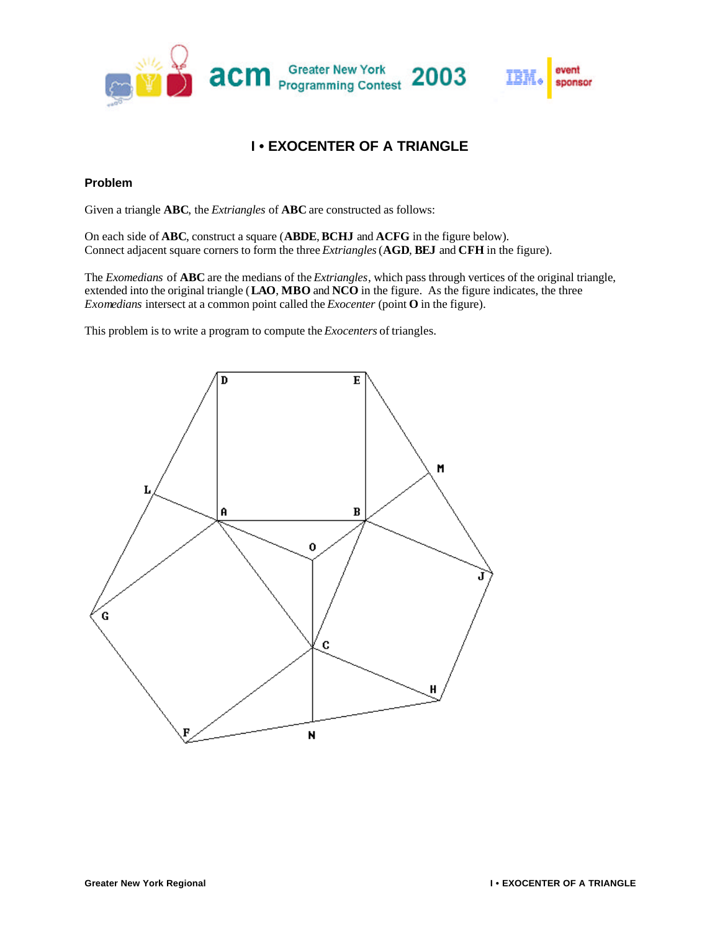

# **I • EXOCENTER OF A TRIANGLE**

## **Problem**

Given a triangle **ABC**, the *Extriangles* of **ABC** are constructed as follows:

On each side of **ABC**, construct a square (**ABDE**, **BCHJ** and **ACFG** in the figure below). Connect adjacent square corners to form the three *Extriangles*(**AGD**, **BEJ** and **CFH** in the figure).

The *Exomedians* of **ABC** are the medians of the *Extriangles*, which pass through vertices of the original triangle, extended into the original triangle (**LAO**, **MBO** and **NCO** in the figure. As the figure indicates, the three *Exomedians* intersect at a common point called the *Exocenter* (point **O** in the figure).

This problem is to write a program to compute the *Exocenters* of triangles.